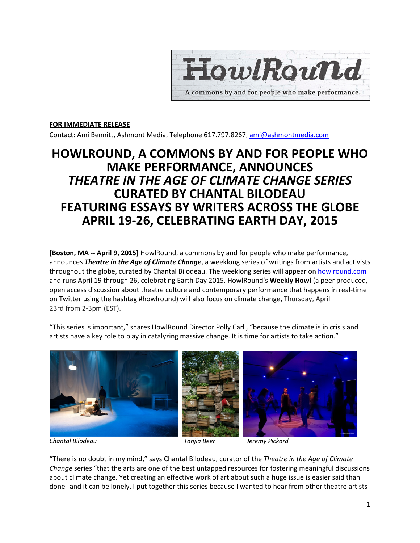

#### **FOR IMMEDIATE RELEASE**

Contact: Ami Bennitt, Ashmont Media, Telephone 617.797.8267, ami@ashmontmedia.com

# **HOWLROUND, A COMMONS BY AND FOR PEOPLE WHO MAKE PERFORMANCE, ANNOUNCES** *THEATRE IN THE AGE OF CLIMATE CHANGE SERIES*  **CURATED BY CHANTAL BILODEAU FEATURING ESSAYS BY WRITERS ACROSS THE GLOBE APRIL 19-26, CELEBRATING EARTH DAY, 2015**

**[Boston, MA -- April 9, 2015]** HowlRound, a commons by and for people who make performance, announces *Theatre in the Age of Climate Change*, a weeklong series of writings from artists and activists throughout the globe, curated by Chantal Bilodeau. The weeklong series will appear on howlround.com and runs April 19 through 26, celebrating Earth Day 2015. HowlRound's **Weekly Howl** (a peer produced, open access discussion about theatre culture and contemporary performance that happens in real-time on Twitter using the hashtag #howlround) will also focus on climate change, Thursday, April 23rd from 2-3pm (EST).

"This series is important," shares HowlRound Director Polly Carl , "because the climate is in crisis and artists have a key role to play in catalyzing massive change. It is time for artists to take action."



"There is no doubt in my mind," says Chantal Bilodeau, curator of the *Theatre in the Age of Climate Change* series "that the arts are one of the best untapped resources for fostering meaningful discussions about climate change. Yet creating an effective work of art about such a huge issue is easier said than done--and it can be lonely. I put together this series because I wanted to hear from other theatre artists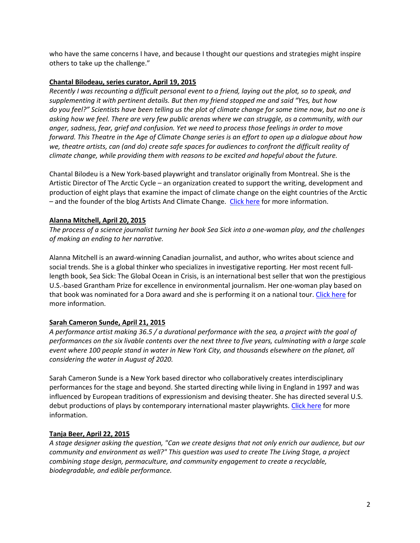who have the same concerns I have, and because I thought our questions and strategies might inspire others to take up the challenge."

#### **Chantal Bilodeau, series curator, April 19, 2015**

*Recently I was recounting a difficult personal event to a friend, laying out the plot, so to speak, and supplementing it with pertinent details. But then my friend stopped me and said "Yes, but how do you feel?" Scientists have been telling us the plot of climate change for some time now, but no one is asking how we feel. There are very few public arenas where we can struggle, as a community, with our anger, sadness, fear, grief and confusion. Yet we need to process those feelings in order to move forward. This Theatre in the Age of Climate Change series is an effort to open up a dialogue about how we, theatre artists, can (and do) create safe spaces for audiences to confront the difficult reality of climate change, while providing them with reasons to be excited and hopeful about the future.* 

Chantal Bilodeu is a New York-based playwright and translator originally from Montreal. She is the Artistic Director of The Arctic Cycle – an organization created to support the writing, development and production of eight plays that examine the impact of climate change on the eight countries of the Arctic – and the founder of the blog Artists And Climate Change. Click here for more information.

# **Alanna Mitchell, April 20, 2015**

*The process of a science journalist turning her book Sea Sick into a one-woman play, and the challenges of making an ending to her narrative.*

Alanna Mitchell is an award-winning Canadian journalist, and author, who writes about science and social trends. She is a global thinker who specializes in investigative reporting. Her most recent fulllength book, Sea Sick: The Global Ocean in Crisis, is an international best seller that won the prestigious U.S.-based Grantham Prize for excellence in environmental journalism. Her one-woman play based on that book was nominated for a Dora award and she is performing it on a national tour. Click here for more information.

# **Sarah Cameron Sunde, April 21, 2015**

*A performance artist making 36.5 / a durational performance with the sea, a project with the goal of performances on the six livable contents over the next three to five years, culminating with a large scale event where 100 people stand in water in New York City, and thousands elsewhere on the planet, all considering the water in August of 2020.* 

Sarah Cameron Sunde is a New York based director who collaboratively creates interdisciplinary performances for the stage and beyond. She started directing while living in England in 1997 and was influenced by European traditions of expressionism and devising theater. She has directed several U.S. debut productions of plays by contemporary international master playwrights. Click here for more information.

#### **Tanja Beer, April 22, 2015**

*A stage designer asking the question, "Can we create designs that not only enrich our audience, but our community and environment as well?" This question was used to create The Living Stage, a project combining stage design, permaculture, and community engagement to create a recyclable, biodegradable, and edible performance.*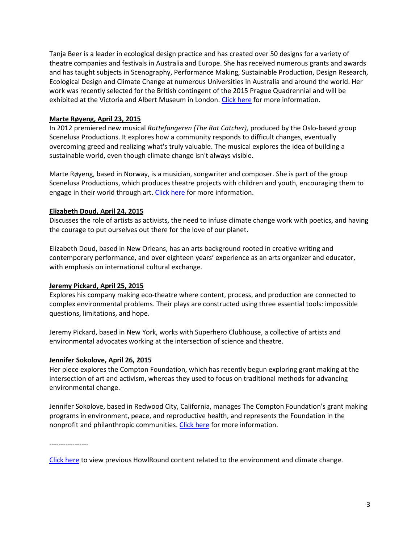Tanja Beer is a leader in ecological design practice and has created over 50 designs for a variety of theatre companies and festivals in Australia and Europe. She has received numerous grants and awards and has taught subjects in Scenography, Performance Making, Sustainable Production, Design Research, Ecological Design and Climate Change at numerous Universities in Australia and around the world. Her work was recently selected for the British contingent of the 2015 Prague Quadrennial and will be exhibited at the Victoria and Albert Museum in London. Click here for more information.

#### **Marte Røyeng, April 23, 2015**

In 2012 premiered new musical *Rottefangeren (The Rat Catcher),* produced by the Oslo-based group Scenelusa Productions. It explores how a community responds to difficult changes, eventually overcoming greed and realizing what's truly valuable. The musical explores the idea of building a sustainable world, even though climate change isn't always visible.

Marte Røyeng, based in Norway, is a musician, songwriter and composer. She is part of the group Scenelusa Productions, which produces theatre projects with children and youth, encouraging them to engage in their world through art. Click here for more information.

### **Elizabeth Doud, April 24, 2015**

Discusses the role of artists as activists, the need to infuse climate change work with poetics, and having the courage to put ourselves out there for the love of our planet.

Elizabeth Doud, based in New Orleans, has an arts background rooted in creative writing and contemporary performance, and over eighteen years' experience as an arts organizer and educator, with emphasis on international cultural exchange.

#### **Jeremy Pickard, April 25, 2015**

Explores his company making eco-theatre where content, process, and production are connected to complex environmental problems. Their plays are constructed using three essential tools: impossible questions, limitations, and hope.

Jeremy Pickard, based in New York, works with Superhero Clubhouse, a collective of artists and environmental advocates working at the intersection of science and theatre.

#### **Jennifer Sokolove, April 26, 2015**

Her piece explores the Compton Foundation, which has recently begun exploring grant making at the intersection of art and activism, whereas they used to focus on traditional methods for advancing environmental change.

Jennifer Sokolove, based in Redwood City, California, manages The Compton Foundation's grant making programs in environment, peace, and reproductive health, and represents the Foundation in the nonprofit and philanthropic communities. Click here for more information.

-----------------

Click here to view previous HowlRound content related to the environment and climate change.